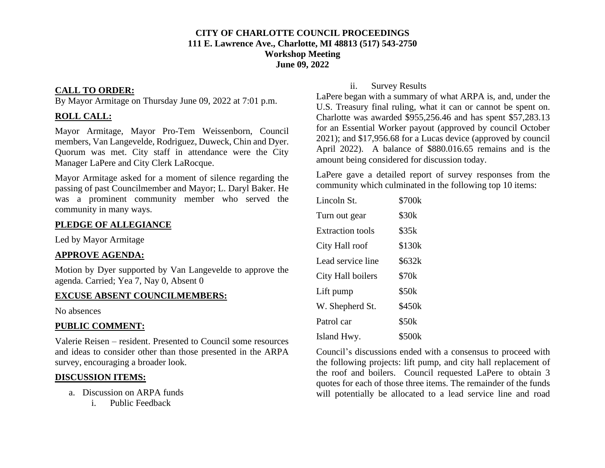#### **CITY OF CHARLOTTE COUNCIL PROCEEDINGS 111 E. Lawrence Ave., Charlotte, MI 48813 (517) 543-2750 Workshop Meeting June 09, 2022**

### **CALL TO ORDER:**

By Mayor Armitage on Thursday June 09, 2022 at 7:01 p.m.

## **ROLL CALL:**

Mayor Armitage, Mayor Pro-Tem Weissenborn, Council members, Van Langevelde, Rodriguez, Duweck, Chin and Dyer. Quorum was met. City staff in attendance were the City Manager LaPere and City Clerk LaRocque.

Mayor Armitage asked for a moment of silence regarding the passing of past Councilmember and Mayor; L. Daryl Baker. He was a prominent community member who served the community in many ways.

## **PLEDGE OF ALLEGIANCE**

Led by Mayor Armitage

## **APPROVE AGENDA:**

Motion by Dyer supported by Van Langevelde to approve the agenda. Carried; Yea 7, Nay 0, Absent 0

## **EXCUSE ABSENT COUNCILMEMBERS:**

No absences

#### **PUBLIC COMMENT:**

Valerie Reisen – resident. Presented to Council some resources and ideas to consider other than those presented in the ARPA survey, encouraging a broader look.

## **DISCUSSION ITEMS:**

- a. Discussion on ARPA funds
	- i. Public Feedback

### ii. Survey Results

LaPere began with a summary of what ARPA is, and, under the U.S. Treasury final ruling, what it can or cannot be spent on. Charlotte was awarded \$955,256.46 and has spent \$57,283.13 for an Essential Worker payout (approved by council October 2021); and \$17,956.68 for a Lucas device (approved by council April 2022). A balance of \$880.016.65 remains and is the amount being considered for discussion today.

LaPere gave a detailed report of survey responses from the community which culminated in the following top 10 items:

| Lincoln St.       | \$700k            |
|-------------------|-------------------|
| Turn out gear     | \$30 <sub>k</sub> |
| Extraction tools  | \$35k             |
| City Hall roof    | \$130k            |
| Lead service line | \$632k            |
| City Hall boilers | \$70 <sub>k</sub> |
| Lift pump         | \$50k             |
| W. Shepherd St.   | \$450k            |
| Patrol car        | \$50k             |
| Island Hwy.       | \$500k            |

Council's discussions ended with a consensus to proceed with the following projects: lift pump, and city hall replacement of the roof and boilers. Council requested LaPere to obtain 3 quotes for each of those three items. The remainder of the funds will potentially be allocated to a lead service line and road